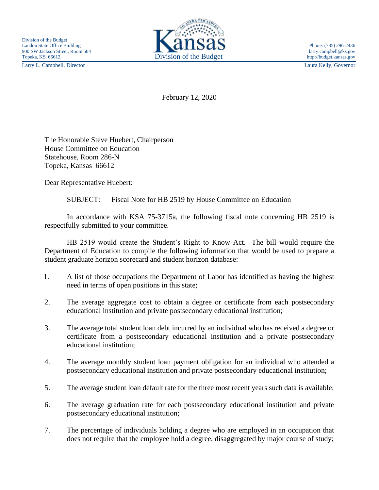Larry L. Campbell, Director Laura Kelly, Governor



February 12, 2020

The Honorable Steve Huebert, Chairperson House Committee on Education Statehouse, Room 286-N Topeka, Kansas 66612

Dear Representative Huebert:

SUBJECT: Fiscal Note for HB 2519 by House Committee on Education

In accordance with KSA 75-3715a, the following fiscal note concerning HB 2519 is respectfully submitted to your committee.

HB 2519 would create the Student's Right to Know Act. The bill would require the Department of Education to compile the following information that would be used to prepare a student graduate horizon scorecard and student horizon database:

- 1. A list of those occupations the Department of Labor has identified as having the highest need in terms of open positions in this state;
- 2. The average aggregate cost to obtain a degree or certificate from each postsecondary educational institution and private postsecondary educational institution;
- 3. The average total student loan debt incurred by an individual who has received a degree or certificate from a postsecondary educational institution and a private postsecondary educational institution;
- 4. The average monthly student loan payment obligation for an individual who attended a postsecondary educational institution and private postsecondary educational institution;
- 5. The average student loan default rate for the three most recent years such data is available;
- 6. The average graduation rate for each postsecondary educational institution and private postsecondary educational institution;
- 7. The percentage of individuals holding a degree who are employed in an occupation that does not require that the employee hold a degree, disaggregated by major course of study;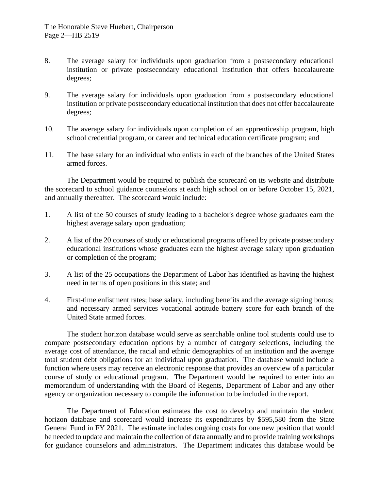- 8. The average salary for individuals upon graduation from a postsecondary educational institution or private postsecondary educational institution that offers baccalaureate degrees;
- 9. The average salary for individuals upon graduation from a postsecondary educational institution or private postsecondary educational institution that does not offer baccalaureate degrees;
- 10. The average salary for individuals upon completion of an apprenticeship program, high school credential program, or career and technical education certificate program; and
- 11. The base salary for an individual who enlists in each of the branches of the United States armed forces.

The Department would be required to publish the scorecard on its website and distribute the scorecard to school guidance counselors at each high school on or before October 15, 2021, and annually thereafter. The scorecard would include:

- 1. A list of the 50 courses of study leading to a bachelor's degree whose graduates earn the highest average salary upon graduation;
- 2. A list of the 20 courses of study or educational programs offered by private postsecondary educational institutions whose graduates earn the highest average salary upon graduation or completion of the program;
- 3. A list of the 25 occupations the Department of Labor has identified as having the highest need in terms of open positions in this state; and
- 4. First-time enlistment rates; base salary, including benefits and the average signing bonus; and necessary armed services vocational aptitude battery score for each branch of the United State armed forces.

The student horizon database would serve as searchable online tool students could use to compare postsecondary education options by a number of category selections, including the average cost of attendance, the racial and ethnic demographics of an institution and the average total student debt obligations for an individual upon graduation. The database would include a function where users may receive an electronic response that provides an overview of a particular course of study or educational program. The Department would be required to enter into an memorandum of understanding with the Board of Regents, Department of Labor and any other agency or organization necessary to compile the information to be included in the report.

The Department of Education estimates the cost to develop and maintain the student horizon database and scorecard would increase its expenditures by \$595,580 from the State General Fund in FY 2021. The estimate includes ongoing costs for one new position that would be needed to update and maintain the collection of data annually and to provide training workshops for guidance counselors and administrators. The Department indicates this database would be